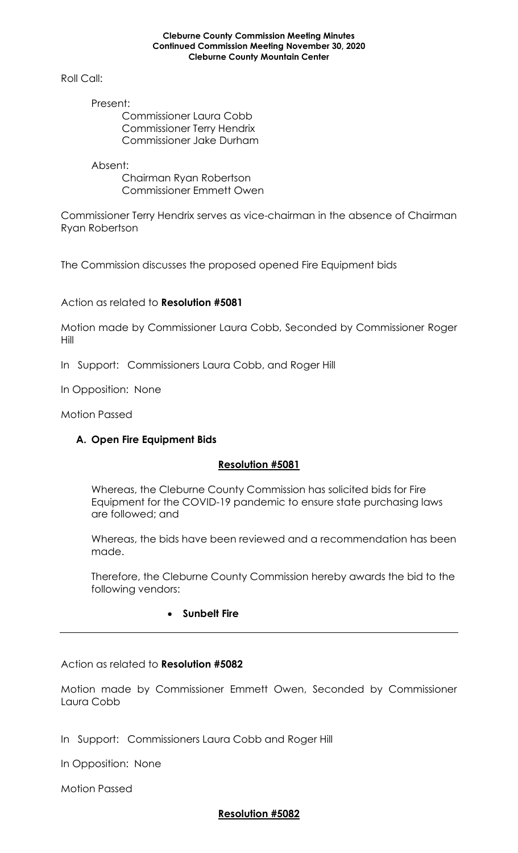## **Cleburne County Commission Meeting Minutes Continued Commission Meeting November 30, 2020 Cleburne County Mountain Center**

Roll Call:

Present: Commissioner Laura Cobb Commissioner Terry Hendrix Commissioner Jake Durham

Absent: Chairman Ryan Robertson Commissioner Emmett Owen

Commissioner Terry Hendrix serves as vice-chairman in the absence of Chairman Ryan Robertson

The Commission discusses the proposed opened Fire Equipment bids

Action as related to **Resolution #5081**

Motion made by Commissioner Laura Cobb, Seconded by Commissioner Roger Hill

In Support: Commissioners Laura Cobb, and Roger Hill

In Opposition: None

Motion Passed

# **A. Open Fire Equipment Bids**

# **Resolution #5081**

Whereas, the Cleburne County Commission has solicited bids for Fire Equipment for the COVID-19 pandemic to ensure state purchasing laws are followed; and

Whereas, the bids have been reviewed and a recommendation has been made.

Therefore, the Cleburne County Commission hereby awards the bid to the following vendors:

# • **Sunbelt Fire**

Action as related to **Resolution #5082**

Motion made by Commissioner Emmett Owen, Seconded by Commissioner Laura Cobb

In Support: Commissioners Laura Cobb and Roger Hill

In Opposition: None

Motion Passed

# **Resolution #5082**